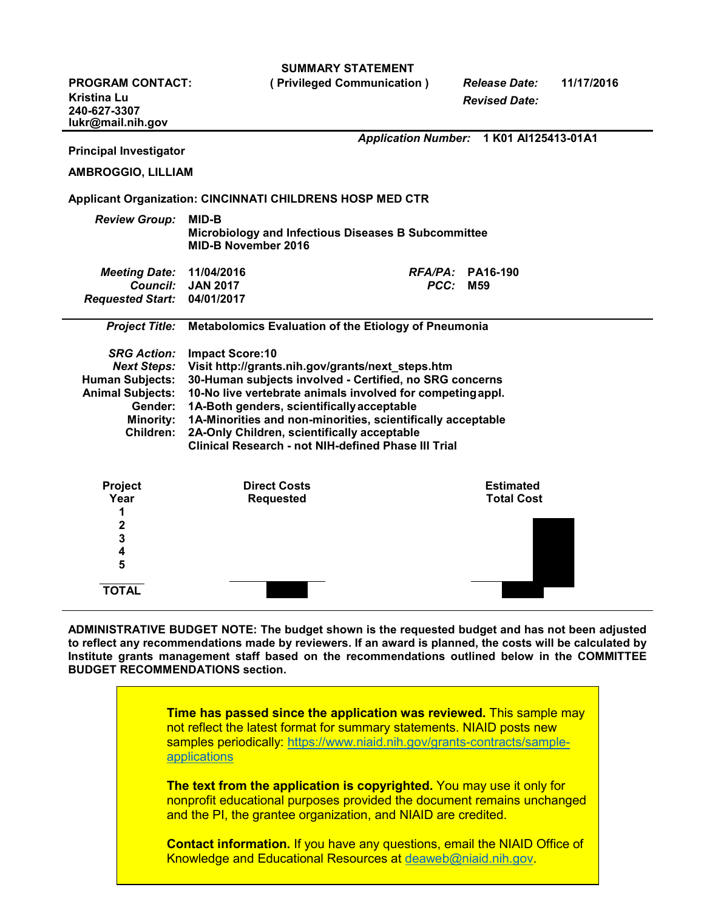|  | <b>SUMMARY STATEMENT</b> |
|--|--------------------------|
|--|--------------------------|

**PROGRAM CONTACT: ( Privileged Communication )** *Release Date:* **11/17/2016**

**Kristina Lu** 

*Revised Date:*

**240-627-3307 [lukr@mail.nih.gov](mailto:lukr@mail.nih.gov)** *Application Number:* **1 K01 AI125413-01A1 Principal Investigator AMBROGGIO, LILLIAM Applicant Organization: CINCINNATI CHILDRENS HOSP MED CTR** *Review Group:* **MID-B Microbiology and Infectious Diseases B Subcommittee MID-B November 2016** *Meeting Date:* **11/04/2016** *RFA/PA:* **PA16-190** *Council:* **JAN 2017** *PCC:* **M59** *Requested Start:* **04/01/2017** *Project Title:* **Metabolomics Evaluation of the Etiology of Pneumonia** *SRG Action:* **Impact Score:10** *Next Steps:* **Visit [http://grants.nih.gov/grants/next\\_steps.htm](http://grants.nih.gov/grants/next_steps.htm) Human Subjects: 30-Human subjects involved - Certified, no SRG concerns Animal Subjects: 10-No live vertebrate animals involved for competingappl. Gender: 1A-Both genders, scientificallyacceptable Minority: 1A-Minorities and non-minorities, scientifically acceptable Children: 2A-Only Children, scientifically acceptable Clinical Research - not NIH-defined Phase III Trial Project Direct Costs Estimated Requested 1 2 3 4 5 TOTAL**

**ADMINISTRATIVE BUDGET NOTE: The budget shown is the requested budget and has not been adjusted to reflect any recommendations made by reviewers. If an award is planned, the costs will be calculated by Institute grants management staff based on the recommendations outlined below in the COMMITTEE BUDGET RECOMMENDATIONS section.**

> **Time has passed since the application was reviewed.** This sample may not reflect the latest format for summary statements. NIAID posts new samples periodically: [https://www.niaid.nih.gov/grants-contracts/sample](https://www.niaid.nih.gov/grants-contracts/sample-applications)[applications](https://www.niaid.nih.gov/grants-contracts/sample-applications)

> **The text from the application is copyrighted.** You may use it only for nonprofit educational purposes provided the document remains unchanged and the PI, the grantee organization, and NIAID are credited.

> **Contact information.** If you have any questions, email the NIAID Office of Knowledge and Educational Resources at [deaweb@niaid.nih.gov.](mailto:deaweb@niaid.nih.gov)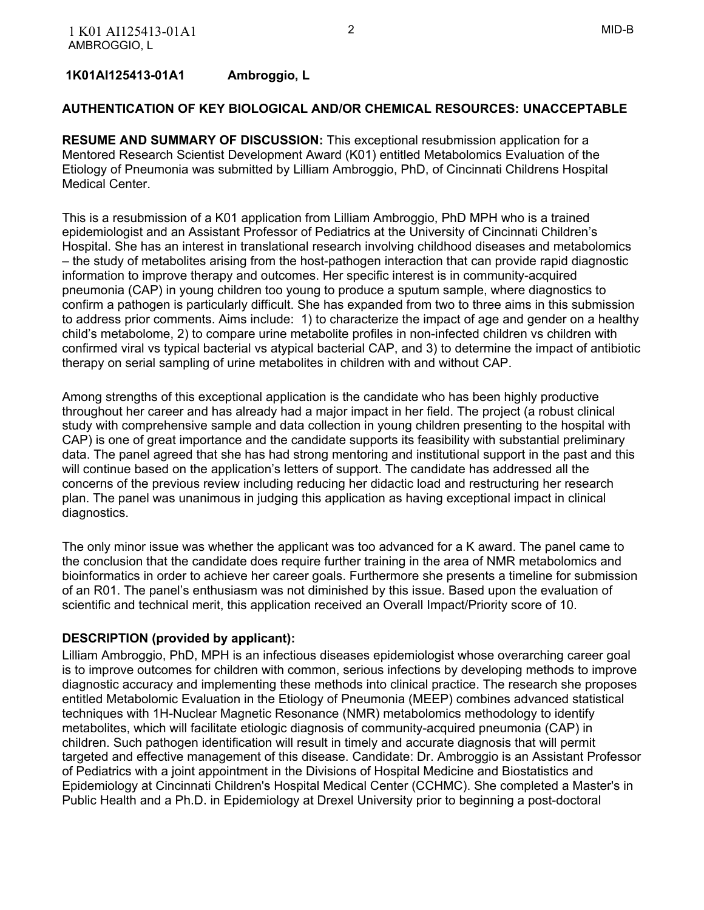### **1K01AI125413-01A1 Ambroggio, L**

#### **AUTHENTICATION OF KEY BIOLOGICAL AND/OR CHEMICAL RESOURCES: UNACCEPTABLE**

 **RESUME AND SUMMARY OF DISCUSSION:** This exceptional resubmission application for a Mentored Research Scientist Development Award (K01) entitled Metabolomics Evaluation of the Etiology of Pneumonia was submitted by Lilliam Ambroggio, PhD, of Cincinnati Childrens Hospital Medical Center.

 This is a resubmission of a K01 application from Lilliam Ambroggio, PhD MPH who is a trained epidemiologist and an Assistant Professor of Pediatrics at the University of Cincinnati Children's Hospital. She has an interest in translational research involving childhood diseases and metabolomics – the study of metabolites arising from the host-pathogen interaction that can provide rapid diagnostic information to improve therapy and outcomes. Her specific interest is in community-acquired pneumonia (CAP) in young children too young to produce a sputum sample, where diagnostics to confirm a pathogen is particularly difficult. She has expanded from two to three aims in this submission to address prior comments. Aims include: 1) to characterize the impact of age and gender on a healthy child's metabolome, 2) to compare urine metabolite profiles in non-infected children vs children with confirmed viral vs typical bacterial vs atypical bacterial CAP, and 3) to determine the impact of antibiotic therapy on serial sampling of urine metabolites in children with and without CAP.

 Among strengths of this exceptional application is the candidate who has been highly productive throughout her career and has already had a major impact in her field. The project (a robust clinical study with comprehensive sample and data collection in young children presenting to the hospital with CAP) is one of great importance and the candidate supports its feasibility with substantial preliminary data. The panel agreed that she has had strong mentoring and institutional support in the past and this will continue based on the application's letters of support. The candidate has addressed all the concerns of the previous review including reducing her didactic load and restructuring her research plan. The panel was unanimous in judging this application as having exceptional impact in clinical diagnostics.

 The only minor issue was whether the applicant was too advanced for a K award. The panel came to the conclusion that the candidate does require further training in the area of NMR metabolomics and bioinformatics in order to achieve her career goals. Furthermore she presents a timeline for submission of an R01. The panel's enthusiasm was not diminished by this issue. Based upon the evaluation of scientific and technical merit, this application received an Overall Impact/Priority score of 10.

#### **DESCRIPTION (provided by applicant):**

 Lilliam Ambroggio, PhD, MPH is an infectious diseases epidemiologist whose overarching career goal is to improve outcomes for children with common, serious infections by developing methods to improve diagnostic accuracy and implementing these methods into clinical practice. The research she proposes entitled Metabolomic Evaluation in the Etiology of Pneumonia (MEEP) combines advanced statistical techniques with 1H-Nuclear Magnetic Resonance (NMR) metabolomics methodology to identify metabolites, which will facilitate etiologic diagnosis of community-acquired pneumonia (CAP) in children. Such pathogen identification will result in timely and accurate diagnosis that will permit targeted and effective management of this disease. Candidate: Dr. Ambroggio is an Assistant Professor of Pediatrics with a joint appointment in the Divisions of Hospital Medicine and Biostatistics and Epidemiology at Cincinnati Children's Hospital Medical Center (CCHMC). She completed a Master's in Public Health and a Ph.D. in Epidemiology at Drexel University prior to beginning a post-doctoral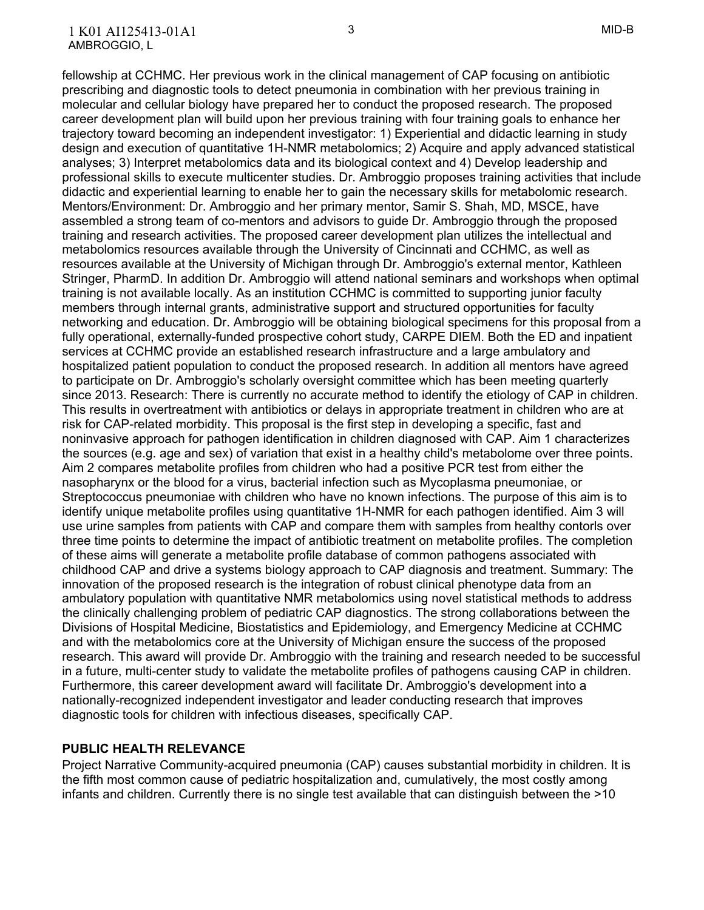fellowship at CCHMC. Her previous work in the clinical management of CAP focusing on antibiotic prescribing and diagnostic tools to detect pneumonia in combination with her previous training in molecular and cellular biology have prepared her to conduct the proposed research. The proposed career development plan will build upon her previous training with four training goals to enhance her trajectory toward becoming an independent investigator: 1) Experiential and didactic learning in study design and execution of quantitative 1H-NMR metabolomics; 2) Acquire and apply advanced statistical analyses; 3) Interpret metabolomics data and its biological context and 4) Develop leadership and professional skills to execute multicenter studies. Dr. Ambroggio proposes training activities that include didactic and experiential learning to enable her to gain the necessary skills for metabolomic research. Mentors/Environment: Dr. Ambroggio and her primary mentor, Samir S. Shah, MD, MSCE, have assembled a strong team of co-mentors and advisors to guide Dr. Ambroggio through the proposed training and research activities. The proposed career development plan utilizes the intellectual and metabolomics resources available through the University of Cincinnati and CCHMC, as well as resources available at the University of Michigan through Dr. Ambroggio's external mentor, Kathleen Stringer, PharmD. In addition Dr. Ambroggio will attend national seminars and workshops when optimal training is not available locally. As an institution CCHMC is committed to supporting junior faculty members through internal grants, administrative support and structured opportunities for faculty networking and education. Dr. Ambroggio will be obtaining biological specimens for this proposal from a fully operational, externally-funded prospective cohort study, CARPE DIEM. Both the ED and inpatient services at CCHMC provide an established research infrastructure and a large ambulatory and hospitalized patient population to conduct the proposed research. In addition all mentors have agreed to participate on Dr. Ambroggio's scholarly oversight committee which has been meeting quarterly since 2013. Research: There is currently no accurate method to identify the etiology of CAP in children. This results in overtreatment with antibiotics or delays in appropriate treatment in children who are at risk for CAP-related morbidity. This proposal is the first step in developing a specific, fast and noninvasive approach for pathogen identification in children diagnosed with CAP. Aim 1 characterizes the sources (e.g. age and sex) of variation that exist in a healthy child's metabolome over three points. Aim 2 compares metabolite profiles from children who had a positive PCR test from either the nasopharynx or the blood for a virus, bacterial infection such as Mycoplasma pneumoniae, or Streptococcus pneumoniae with children who have no known infections. The purpose of this aim is to identify unique metabolite profiles using quantitative 1H-NMR for each pathogen identified. Aim 3 will use urine samples from patients with CAP and compare them with samples from healthy contorls over three time points to determine the impact of antibiotic treatment on metabolite profiles. The completion of these aims will generate a metabolite profile database of common pathogens associated with childhood CAP and drive a systems biology approach to CAP diagnosis and treatment. Summary: The innovation of the proposed research is the integration of robust clinical phenotype data from an ambulatory population with quantitative NMR metabolomics using novel statistical methods to address the clinically challenging problem of pediatric CAP diagnostics. The strong collaborations between the Divisions of Hospital Medicine, Biostatistics and Epidemiology, and Emergency Medicine at CCHMC and with the metabolomics core at the University of Michigan ensure the success of the proposed research. This award will provide Dr. Ambroggio with the training and research needed to be successful in a future, multi-center study to validate the metabolite profiles of pathogens causing CAP in children. Furthermore, this career development award will facilitate Dr. Ambroggio's development into a nationally-recognized independent investigator and leader conducting research that improves diagnostic tools for children with infectious diseases, specifically CAP.

#### **PUBLIC HEALTH RELEVANCE**

 Project Narrative Community-acquired pneumonia (CAP) causes substantial morbidity in children. It is the fifth most common cause of pediatric hospitalization and, cumulatively, the most costly among infants and children. Currently there is no single test available that can distinguish between the >10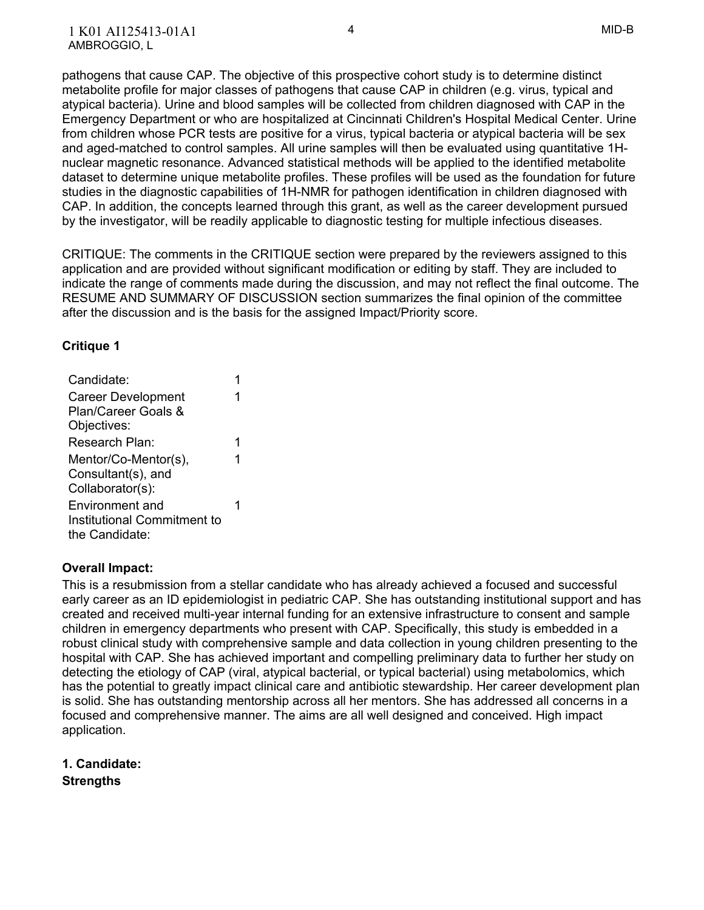pathogens that cause CAP. The objective of this prospective cohort study is to determine distinct metabolite profile for major classes of pathogens that cause CAP in children (e.g. virus, typical and atypical bacteria). Urine and blood samples will be collected from children diagnosed with CAP in the Emergency Department or who are hospitalized at Cincinnati Children's Hospital Medical Center. Urine from children whose PCR tests are positive for a virus, typical bacteria or atypical bacteria will be sex and aged-matched to control samples. All urine samples will then be evaluated using quantitative 1H- nuclear magnetic resonance. Advanced statistical methods will be applied to the identified metabolite dataset to determine unique metabolite profiles. These profiles will be used as the foundation for future studies in the diagnostic capabilities of 1H-NMR for pathogen identification in children diagnosed with CAP. In addition, the concepts learned through this grant, as well as the career development pursued by the investigator, will be readily applicable to diagnostic testing for multiple infectious diseases.

 CRITIQUE: The comments in the CRITIQUE section were prepared by the reviewers assigned to this application and are provided without significant modification or editing by staff. They are included to indicate the range of comments made during the discussion, and may not reflect the final outcome. The RESUME AND SUMMARY OF DISCUSSION section summarizes the final opinion of the committee after the discussion and is the basis for the assigned Impact/Priority score.

#### **Critique 1**

| Candidate:                  |   |  |
|-----------------------------|---|--|
| <b>Career Development</b>   |   |  |
| Plan/Career Goals &         |   |  |
| Objectives:                 |   |  |
| Research Plan:              | 1 |  |
| Mentor/Co-Mentor(s),        | 1 |  |
| Consultant(s), and          |   |  |
| Collaborator(s):            |   |  |
| Environment and             |   |  |
| Institutional Commitment to |   |  |
| the Candidate:              |   |  |

#### **Overall Impact:**

 This is a resubmission from a stellar candidate who has already achieved a focused and successful early career as an ID epidemiologist in pediatric CAP. She has outstanding institutional support and has created and received multi-year internal funding for an extensive infrastructure to consent and sample children in emergency departments who present with CAP. Specifically, this study is embedded in a robust clinical study with comprehensive sample and data collection in young children presenting to the hospital with CAP. She has achieved important and compelling preliminary data to further her study on detecting the etiology of CAP (viral, atypical bacterial, or typical bacterial) using metabolomics, which has the potential to greatly impact clinical care and antibiotic stewardship. Her career development plan is solid. She has outstanding mentorship across all her mentors. She has addressed all concerns in a focused and comprehensive manner. The aims are all well designed and conceived. High impact application.

**1. Candidate: Strengths**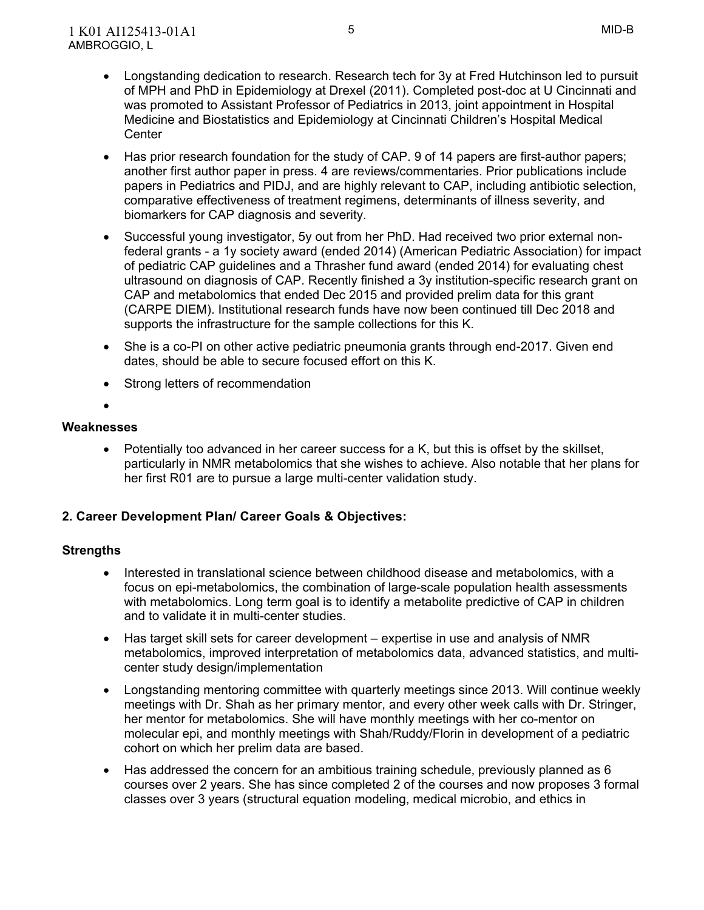- Has prior research foundation for the study of CAP. 9 of 14 papers are first-author papers; another first author paper in press. 4 are reviews/commentaries. Prior publications include papers in Pediatrics and PIDJ, and are highly relevant to CAP, including antibiotic selection, comparative effectiveness of treatment regimens, determinants of illness severity, and biomarkers for CAP diagnosis and severity.
- Successful young investigator, 5y out from her PhD. Had received two prior external non- federal grants - a 1y society award (ended 2014) (American Pediatric Association) for impact of pediatric CAP guidelines and a Thrasher fund award (ended 2014) for evaluating chest ultrasound on diagnosis of CAP. Recently finished a 3y institution-specific research grant on CAP and metabolomics that ended Dec 2015 and provided prelim data for this grant (CARPE DIEM). Institutional research funds have now been continued till Dec 2018 and supports the infrastructure for the sample collections for this K.
- She is a co-PI on other active pediatric pneumonia grants through end-2017. Given end dates, should be able to secure focused effort on this K.
- Strong letters of recommendation
- $\bullet$

• Potentially too advanced in her career success for a K, but this is offset by the skillset, particularly in NMR metabolomics that she wishes to achieve. Also notable that her plans for her first R01 are to pursue a large multi-center validation study.

#### **2. Career Development Plan/ Career Goals & Objectives:**

- Interested in translational science between childhood disease and metabolomics, with a focus on epi-metabolomics, the combination of large-scale population health assessments with metabolomics. Long term goal is to identify a metabolite predictive of CAP in children and to validate it in multi-center studies.
- Has target skill sets for career development expertise in use and analysis of NMR metabolomics, improved interpretation of metabolomics data, advanced statistics, and multi-center study design/implementation
- Longstanding mentoring committee with quarterly meetings since 2013. Will continue weekly meetings with Dr. Shah as her primary mentor, and every other week calls with Dr. Stringer, her mentor for metabolomics. She will have monthly meetings with her co-mentor on molecular epi, and monthly meetings with Shah/Ruddy/Florin in development of a pediatric cohort on which her prelim data are based.
- Has addressed the concern for an ambitious training schedule, previously planned as 6 courses over 2 years. She has since completed 2 of the courses and now proposes 3 formal classes over 3 years (structural equation modeling, medical microbio, and ethics in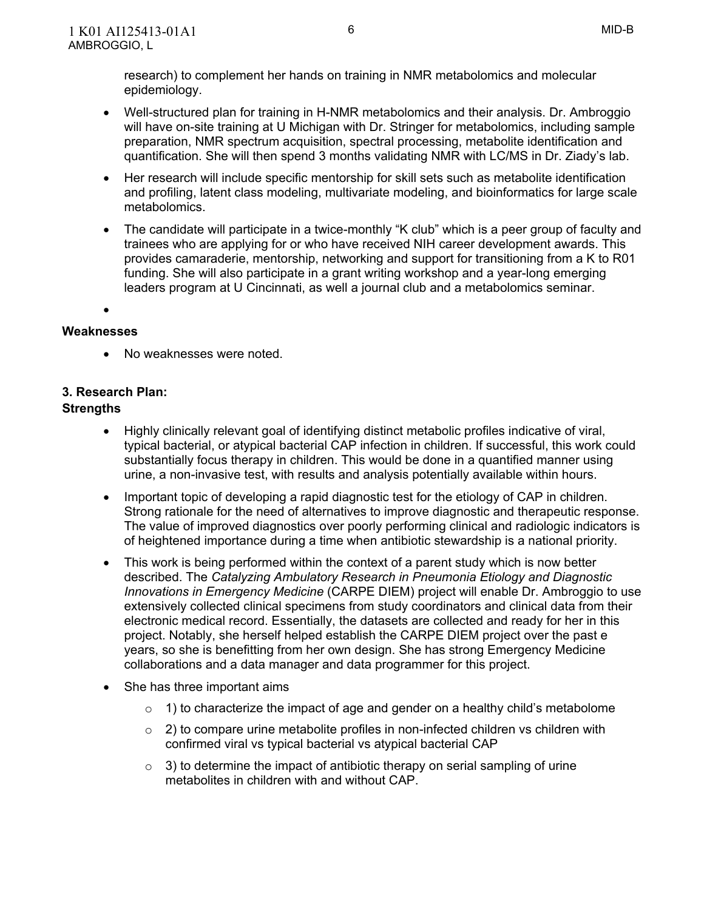research) to complement her hands on training in NMR metabolomics and molecular epidemiology.

- Well-structured plan for training in H-NMR metabolomics and their analysis. Dr. Ambroggio will have on-site training at U Michigan with Dr. Stringer for metabolomics, including sample preparation, NMR spectrum acquisition, spectral processing, metabolite identification and quantification. She will then spend 3 months validating NMR with LC/MS in Dr. Ziady's lab.
- Her research will include specific mentorship for skill sets such as metabolite identification and profiling, latent class modeling, multivariate modeling, and bioinformatics for large scale metabolomics.
- The candidate will participate in a twice-monthly "K club" which is a peer group of faculty and trainees who are applying for or who have received NIH career development awards. This provides camaraderie, mentorship, networking and support for transitioning from a K to R01 funding. She will also participate in a grant writing workshop and a year-long emerging leaders program at U Cincinnati, as well a journal club and a metabolomics seminar.
- $\bullet$

## **Weaknesses**

No weaknesses were noted.

## **3. Research Plan:**

- Highly clinically relevant goal of identifying distinct metabolic profiles indicative of viral, typical bacterial, or atypical bacterial CAP infection in children. If successful, this work could substantially focus therapy in children. This would be done in a quantified manner using urine, a non-invasive test, with results and analysis potentially available within hours.
- Important topic of developing a rapid diagnostic test for the etiology of CAP in children. Strong rationale for the need of alternatives to improve diagnostic and therapeutic response. The value of improved diagnostics over poorly performing clinical and radiologic indicators is of heightened importance during a time when antibiotic stewardship is a national priority.
- This work is being performed within the context of a parent study which is now better described. The *Catalyzing Ambulatory Research in Pneumonia Etiology and Diagnostic Innovations in Emergency Medicine* (CARPE DIEM) project will enable Dr. Ambroggio to use extensively collected clinical specimens from study coordinators and clinical data from their electronic medical record. Essentially, the datasets are collected and ready for her in this project. Notably, she herself helped establish the CARPE DIEM project over the past e years, so she is benefitting from her own design. She has strong Emergency Medicine collaborations and a data manager and data programmer for this project.
- She has three important aims
	- $\circ$  1) to characterize the impact of age and gender on a healthy child's metabolome
	- $\circ$  2) to compare urine metabolite profiles in non-infected children vs children with confirmed viral vs typical bacterial vs atypical bacterial CAP
	- $\circ$  3) to determine the impact of antibiotic therapy on serial sampling of urine metabolites in children with and without CAP.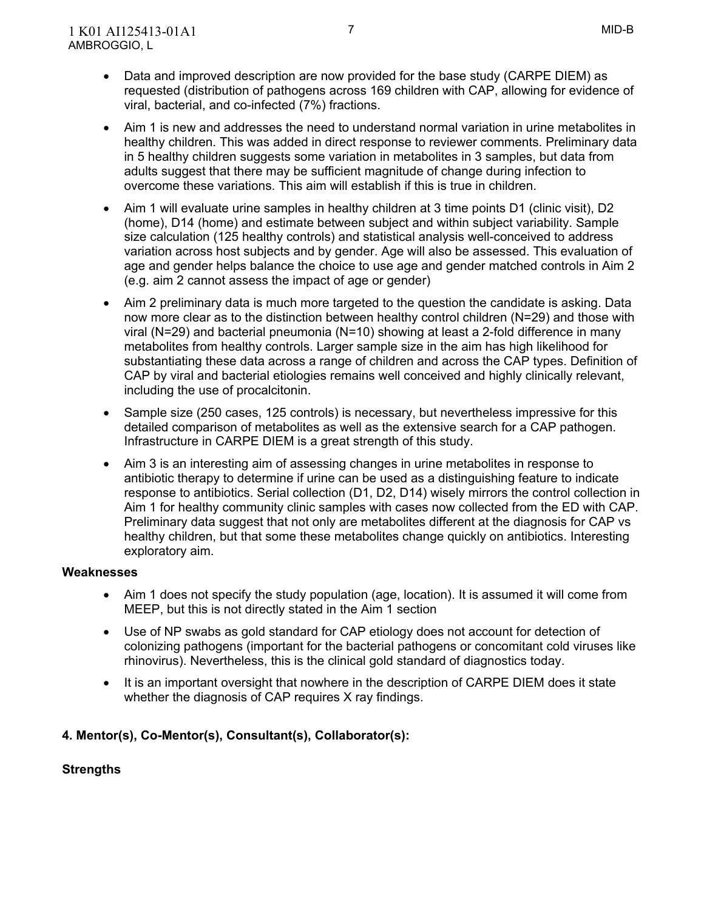- Data and improved description are now provided for the base study (CARPE DIEM) as requested (distribution of pathogens across 169 children with CAP, allowing for evidence of viral, bacterial, and co-infected (7%) fractions.
- Aim 1 is new and addresses the need to understand normal variation in urine metabolites in healthy children. This was added in direct response to reviewer comments. Preliminary data in 5 healthy children suggests some variation in metabolites in 3 samples, but data from adults suggest that there may be sufficient magnitude of change during infection to overcome these variations. This aim will establish if this is true in children.
- Aim 1 will evaluate urine samples in healthy children at 3 time points D1 (clinic visit), D2 (home), D14 (home) and estimate between subject and within subject variability. Sample size calculation (125 healthy controls) and statistical analysis well-conceived to address variation across host subjects and by gender. Age will also be assessed. This evaluation of age and gender helps balance the choice to use age and gender matched controls in Aim 2 (e.g. aim 2 cannot assess the impact of age or gender)
- Aim 2 preliminary data is much more targeted to the question the candidate is asking. Data now more clear as to the distinction between healthy control children (N=29) and those with viral (N=29) and bacterial pneumonia (N=10) showing at least a 2-fold difference in many metabolites from healthy controls. Larger sample size in the aim has high likelihood for substantiating these data across a range of children and across the CAP types. Definition of CAP by viral and bacterial etiologies remains well conceived and highly clinically relevant, including the use of procalcitonin.
- Sample size (250 cases, 125 controls) is necessary, but nevertheless impressive for this detailed comparison of metabolites as well as the extensive search for a CAP pathogen. Infrastructure in CARPE DIEM is a great strength of this study.
- Aim 3 is an interesting aim of assessing changes in urine metabolites in response to antibiotic therapy to determine if urine can be used as a distinguishing feature to indicate response to antibiotics. Serial collection (D1, D2, D14) wisely mirrors the control collection in Aim 1 for healthy community clinic samples with cases now collected from the ED with CAP. Preliminary data suggest that not only are metabolites different at the diagnosis for CAP vs healthy children, but that some these metabolites change quickly on antibiotics. Interesting exploratory aim.

- Aim 1 does not specify the study population (age, location). It is assumed it will come from MEEP, but this is not directly stated in the Aim 1 section
- Use of NP swabs as gold standard for CAP etiology does not account for detection of colonizing pathogens (important for the bacterial pathogens or concomitant cold viruses like rhinovirus). Nevertheless, this is the clinical gold standard of diagnostics today.
- It is an important oversight that nowhere in the description of CARPE DIEM does it state whether the diagnosis of CAP requires X ray findings.

## **4. Mentor(s), Co-Mentor(s), Consultant(s), Collaborator(s):**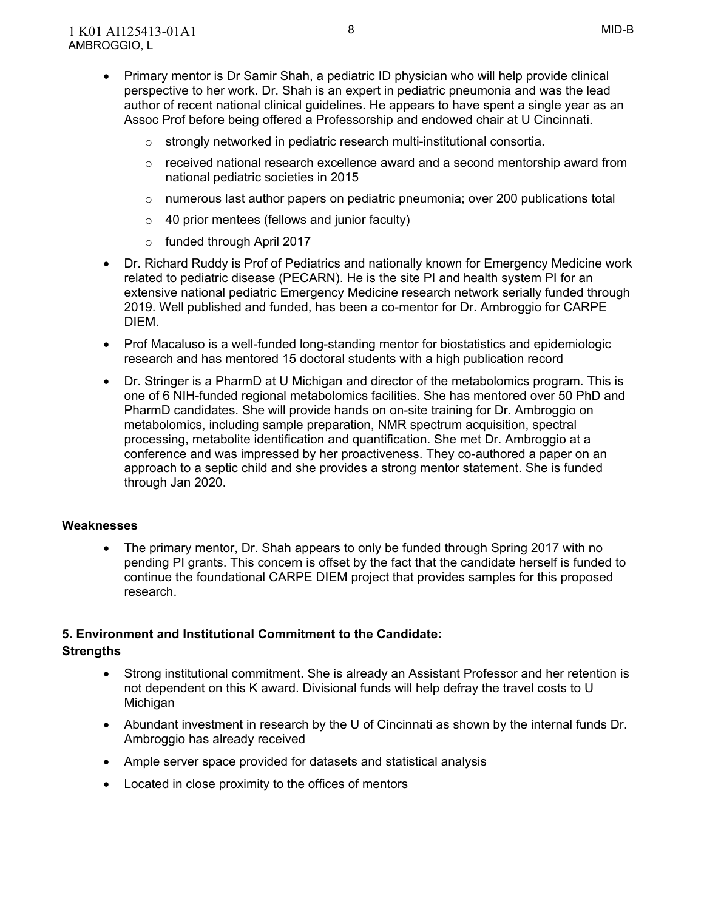- Primary mentor is Dr Samir Shah, a pediatric ID physician who will help provide clinical perspective to her work. Dr. Shah is an expert in pediatric pneumonia and was the lead author of recent national clinical guidelines. He appears to have spent a single year as an Assoc Prof before being offered a Professorship and endowed chair at U Cincinnati.
	- o strongly networked in pediatric research multi-institutional consortia.
	- $\circ$  received national research excellence award and a second mentorship award from national pediatric societies in 2015
	- $\circ$  numerous last author papers on pediatric pneumonia; over 200 publications total
	- $\circ$  40 prior mentees (fellows and junior faculty)
	- o funded through April 2017
- Dr. Richard Ruddy is Prof of Pediatrics and nationally known for Emergency Medicine work related to pediatric disease (PECARN). He is the site PI and health system PI for an extensive national pediatric Emergency Medicine research network serially funded through 2019. Well published and funded, has been a co-mentor for Dr. Ambroggio for CARPE DIEM.
- Prof Macaluso is a well-funded long-standing mentor for biostatistics and epidemiologic research and has mentored 15 doctoral students with a high publication record
- Dr. Stringer is a PharmD at U Michigan and director of the metabolomics program. This is one of 6 NIH-funded regional metabolomics facilities. She has mentored over 50 PhD and PharmD candidates. She will provide hands on on-site training for Dr. Ambroggio on metabolomics, including sample preparation, NMR spectrum acquisition, spectral processing, metabolite identification and quantification. She met Dr. Ambroggio at a conference and was impressed by her proactiveness. They co-authored a paper on an approach to a septic child and she provides a strong mentor statement. She is funded through Jan 2020.

 The primary mentor, Dr. Shah appears to only be funded through Spring 2017 with no pending PI grants. This concern is offset by the fact that the candidate herself is funded to continue the foundational CARPE DIEM project that provides samples for this proposed research.

## **5. Environment and Institutional Commitment to the Candidate:**

- Strong institutional commitment. She is already an Assistant Professor and her retention is not dependent on this K award. Divisional funds will help defray the travel costs to U **Michigan**
- Abundant investment in research by the U of Cincinnati as shown by the internal funds Dr. Ambroggio has already received
- Ample server space provided for datasets and statistical analysis
- Located in close proximity to the offices of mentors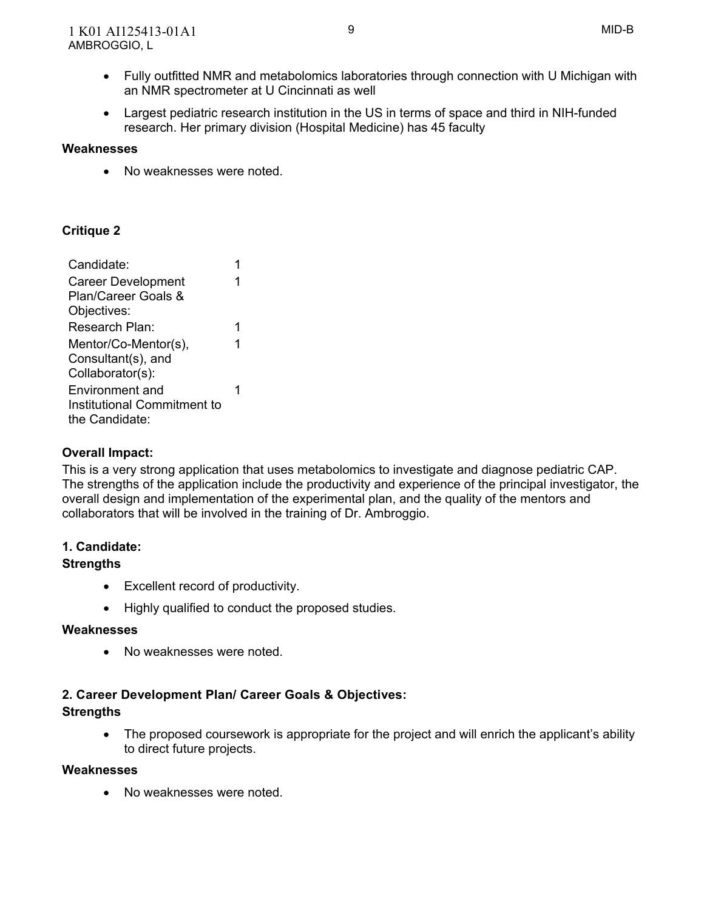- Fully outfitted NMR and metabolomics laboratories through connection with U Michigan with an NMR spectrometer at U Cincinnati as well
- Largest pediatric research institution in the US in terms of space and third in NIH-funded research. Her primary division (Hospital Medicine) has 45 faculty

No weaknesses were noted.

## **Critique 2**

| Candidate:                  |   |  |
|-----------------------------|---|--|
| <b>Career Development</b>   |   |  |
| Plan/Career Goals &         |   |  |
| Objectives:                 |   |  |
| Research Plan:              | 1 |  |
| Mentor/Co-Mentor(s),        | 1 |  |
| Consultant(s), and          |   |  |
| Collaborator(s):            |   |  |
| Environment and             |   |  |
| Institutional Commitment to |   |  |
| the Candidate:              |   |  |

#### **Overall Impact:**

 This is a very strong application that uses metabolomics to investigate and diagnose pediatric CAP. The strengths of the application include the productivity and experience of the principal investigator, the overall design and implementation of the experimental plan, and the quality of the mentors and collaborators that will be involved in the training of Dr. Ambroggio.

## **1. Candidate:**

#### **Strengths**

- Excellent record of productivity.
- Highly qualified to conduct the proposed studies.

#### **Weaknesses**

No weaknesses were noted.

#### **2. Career Development Plan/ Career Goals & Objectives:**

#### **Strengths**

• The proposed coursework is appropriate for the project and will enrich the applicant's ability to direct future projects.

#### **Weaknesses**

No weaknesses were noted.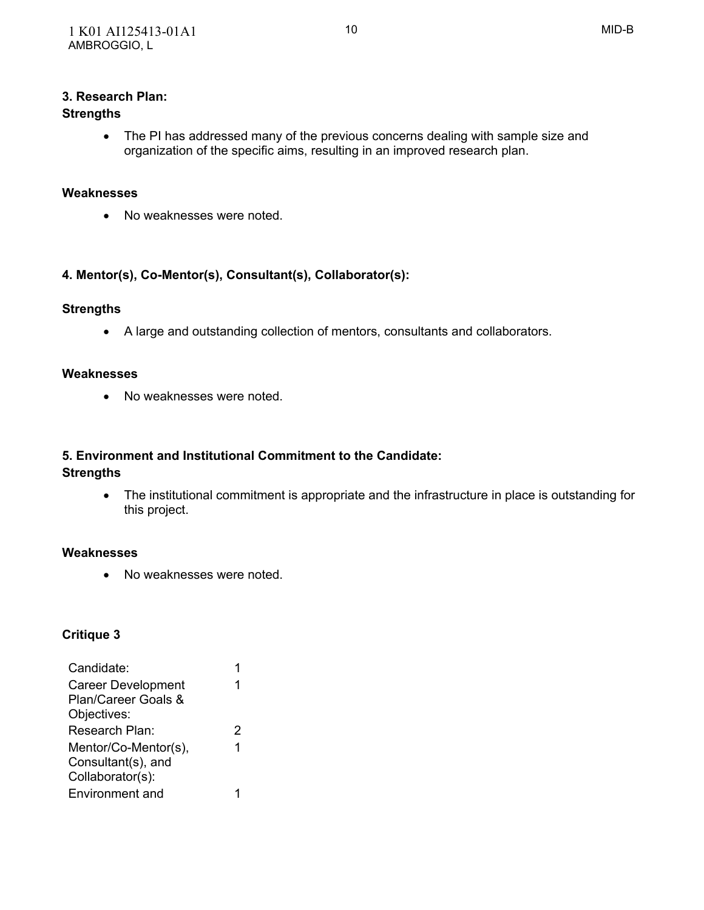#### **3. Research Plan:**

#### **Strengths**

 The PI has addressed many of the previous concerns dealing with sample size and organization of the specific aims, resulting in an improved research plan.

#### **Weaknesses**

No weaknesses were noted.

#### **4. Mentor(s), Co-Mentor(s), Consultant(s), Collaborator(s):**

#### **Strengths**

A large and outstanding collection of mentors, consultants and collaborators.

#### **Weaknesses**

No weaknesses were noted.

#### **5. Environment and Institutional Commitment to the Candidate:**

#### **Strengths**

 The institutional commitment is appropriate and the infrastructure in place is outstanding for this project.

#### **Weaknesses**

No weaknesses were noted.

#### **Critique 3**

| Candidate:                |   |
|---------------------------|---|
| <b>Career Development</b> | 1 |
| Plan/Career Goals &       |   |
| Objectives:               |   |
| Research Plan:            | 2 |
| Mentor/Co-Mentor(s),      | 1 |
| Consultant(s), and        |   |
| Collaborator(s):          |   |
| Environment and           |   |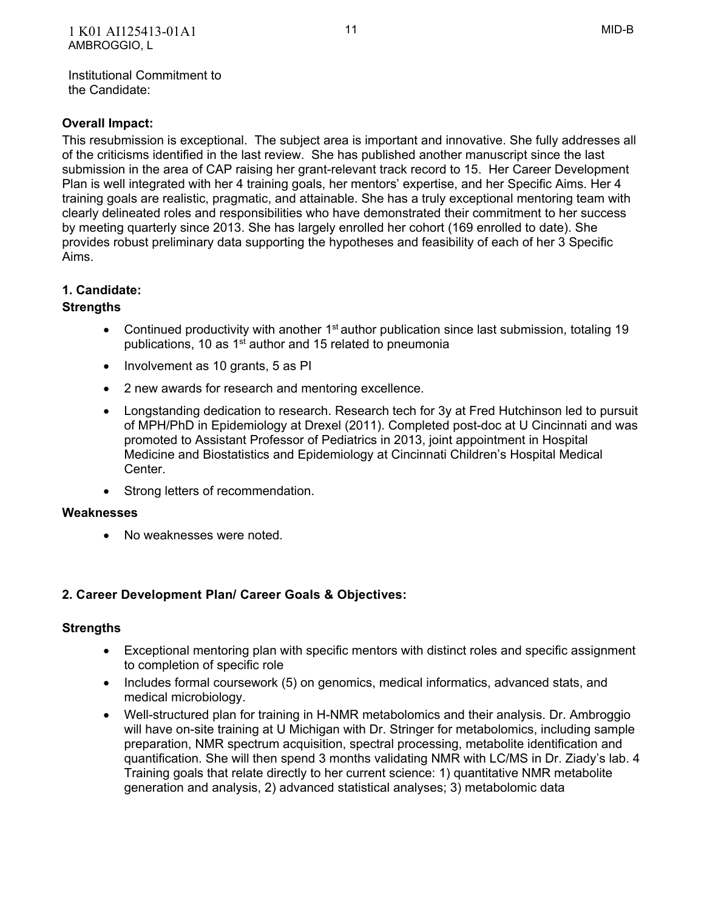Institutional Commitment to the Candidate:

## **Overall Impact:**

 This resubmission is exceptional. The subject area is important and innovative. She fully addresses all of the criticisms identified in the last review. She has published another manuscript since the last submission in the area of CAP raising her grant-relevant track record to 15. Her Career Development Plan is well integrated with her 4 training goals, her mentors' expertise, and her Specific Aims. Her 4 training goals are realistic, pragmatic, and attainable. She has a truly exceptional mentoring team with clearly delineated roles and responsibilities who have demonstrated their commitment to her success by meeting quarterly since 2013. She has largely enrolled her cohort (169 enrolled to date). She provides robust preliminary data supporting the hypotheses and feasibility of each of her 3 Specific Aims.

## **1. Candidate:**

## **Strengths**

- Continued productivity with another  $1<sup>st</sup>$  author publication since last submission, totaling 19 publications, 10 as 1<sup>st</sup> author and 15 related to pneumonia
- Involvement as 10 grants, 5 as PI
- 2 new awards for research and mentoring excellence.
- Longstanding dedication to research. Research tech for 3y at Fred Hutchinson led to pursuit of MPH/PhD in Epidemiology at Drexel (2011). Completed post-doc at U Cincinnati and was promoted to Assistant Professor of Pediatrics in 2013, joint appointment in Hospital Medicine and Biostatistics and Epidemiology at Cincinnati Children's Hospital Medical Center.
- Strong letters of recommendation.

#### **Weaknesses**

No weaknesses were noted.

#### **2. Career Development Plan/ Career Goals & Objectives:**

- Exceptional mentoring plan with specific mentors with distinct roles and specific assignment to completion of specific role
- Includes formal coursework (5) on genomics, medical informatics, advanced stats, and medical microbiology.
- Well-structured plan for training in H-NMR metabolomics and their analysis. Dr. Ambroggio will have on-site training at U Michigan with Dr. Stringer for metabolomics, including sample preparation, NMR spectrum acquisition, spectral processing, metabolite identification and quantification. She will then spend 3 months validating NMR with LC/MS in Dr. Ziady's lab. 4 Training goals that relate directly to her current science: 1) quantitative NMR metabolite generation and analysis, 2) advanced statistical analyses; 3) metabolomic data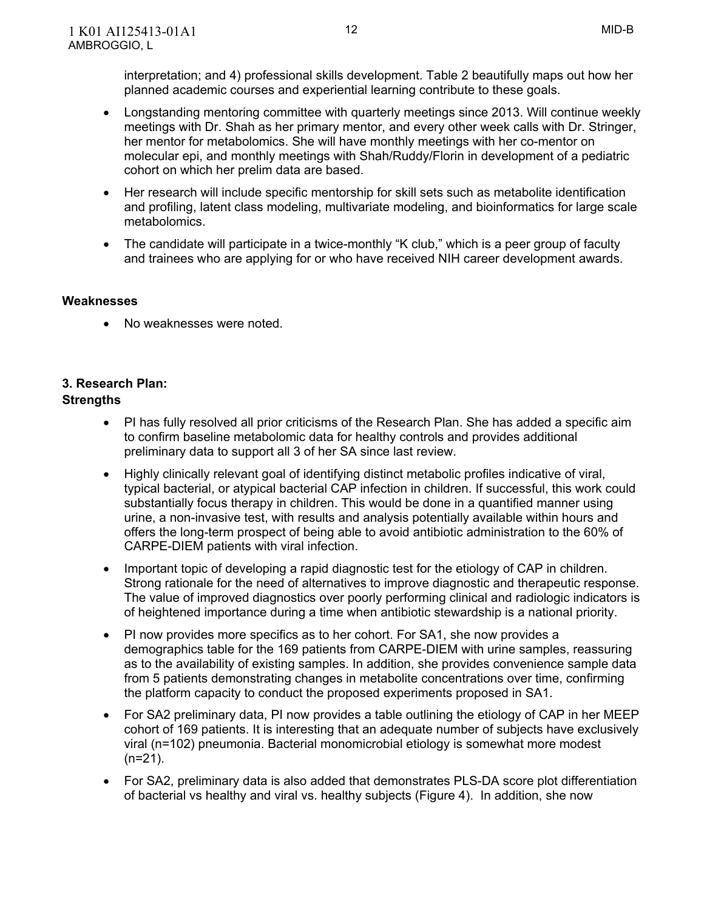interpretation; and 4) professional skills development. Table 2 beautifully maps out how her planned academic courses and experiential learning contribute to these goals.

- Longstanding mentoring committee with quarterly meetings since 2013. Will continue weekly meetings with Dr. Shah as her primary mentor, and every other week calls with Dr. Stringer, her mentor for metabolomics. She will have monthly meetings with her co-mentor on molecular epi, and monthly meetings with Shah/Ruddy/Florin in development of a pediatric cohort on which her prelim data are based.
- Her research will include specific mentorship for skill sets such as metabolite identification and profiling, latent class modeling, multivariate modeling, and bioinformatics for large scale metabolomics.
- The candidate will participate in a twice-monthly "K club," which is a peer group of faculty and trainees who are applying for or who have received NIH career development awards.

#### **Weaknesses**

• No weaknesses were noted.

# **3. Research Plan:**

- PI has fully resolved all prior criticisms of the Research Plan. She has added a specific aim to confirm baseline metabolomic data for healthy controls and provides additional preliminary data to support all 3 of her SA since last review.
- Highly clinically relevant goal of identifying distinct metabolic profiles indicative of viral, typical bacterial, or atypical bacterial CAP infection in children. If successful, this work could substantially focus therapy in children. This would be done in a quantified manner using urine, a non-invasive test, with results and analysis potentially available within hours and offers the long-term prospect of being able to avoid antibiotic administration to the 60% of CARPE-DIEM patients with viral infection.
- Important topic of developing a rapid diagnostic test for the etiology of CAP in children. Strong rationale for the need of alternatives to improve diagnostic and therapeutic response. The value of improved diagnostics over poorly performing clinical and radiologic indicators is of heightened importance during a time when antibiotic stewardship is a national priority.
- PI now provides more specifics as to her cohort. For SA1, she now provides a demographics table for the 169 patients from CARPE-DIEM with urine samples, reassuring as to the availability of existing samples. In addition, she provides convenience sample data from 5 patients demonstrating changes in metabolite concentrations over time, confirming the platform capacity to conduct the proposed experiments proposed in SA1.
- For SA2 preliminary data, PI now provides a table outlining the etiology of CAP in her MEEP cohort of 169 patients. It is interesting that an adequate number of subjects have exclusively viral (n=102) pneumonia. Bacterial monomicrobial etiology is somewhat more modest  $(n=21)$ .
- For SA2, preliminary data is also added that demonstrates PLS-DA score plot differentiation of bacterial vs healthy and viral vs. healthy subjects (Figure 4). In addition, she now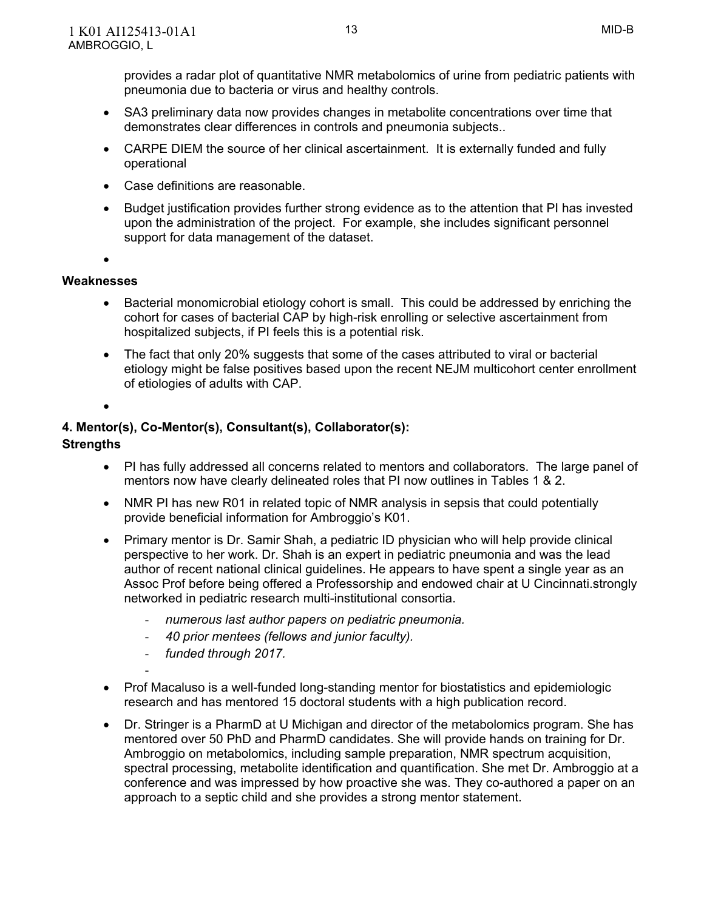provides a radar plot of quantitative NMR metabolomics of urine from pediatric patients with pneumonia due to bacteria or virus and healthy controls.

- SA3 preliminary data now provides changes in metabolite concentrations over time that demonstrates clear differences in controls and pneumonia subjects..
- CARPE DIEM the source of her clinical ascertainment. It is externally funded and fully operational
- Case definitions are reasonable.
- Budget justification provides further strong evidence as to the attention that PI has invested upon the administration of the project. For example, she includes significant personnel support for data management of the dataset.

 $\bullet$ 

#### **Weaknesses**

- Bacterial monomicrobial etiology cohort is small. This could be addressed by enriching the cohort for cases of bacterial CAP by high-risk enrolling or selective ascertainment from hospitalized subjects, if PI feels this is a potential risk.
- The fact that only 20% suggests that some of the cases attributed to viral or bacterial etiology might be false positives based upon the recent NEJM multicohort center enrollment of etiologies of adults with CAP.

 $\bullet$ 

# **4. Mentor(s), Co-Mentor(s), Consultant(s), Collaborator(s):**

#### **Strengths**

- PI has fully addressed all concerns related to mentors and collaborators. The large panel of mentors now have clearly delineated roles that PI now outlines in Tables 1 & 2.
- NMR PI has new R01 in related topic of NMR analysis in sepsis that could potentially provide beneficial information for Ambroggio's K01.
- Primary mentor is Dr. Samir Shah, a pediatric ID physician who will help provide clinical perspective to her work. Dr. Shah is an expert in pediatric pneumonia and was the lead author of recent national clinical guidelines. He appears to have spent a single year as an Assoc Prof before being offered a Professorship and endowed chair at U Cincinnati.strongly networked in pediatric research multi-institutional consortia.
	- *numerous last author papers on pediatric pneumonia.*
	- *40 prior mentees (fellows and junior faculty).*
	- *funded through 2017.*

-

- Prof Macaluso is a well-funded long-standing mentor for biostatistics and epidemiologic research and has mentored 15 doctoral students with a high publication record.
- Dr. Stringer is a PharmD at U Michigan and director of the metabolomics program. She has mentored over 50 PhD and PharmD candidates. She will provide hands on training for Dr. Ambroggio on metabolomics, including sample preparation, NMR spectrum acquisition, spectral processing, metabolite identification and quantification. She met Dr. Ambroggio at a conference and was impressed by how proactive she was. They co-authored a paper on an approach to a septic child and she provides a strong mentor statement.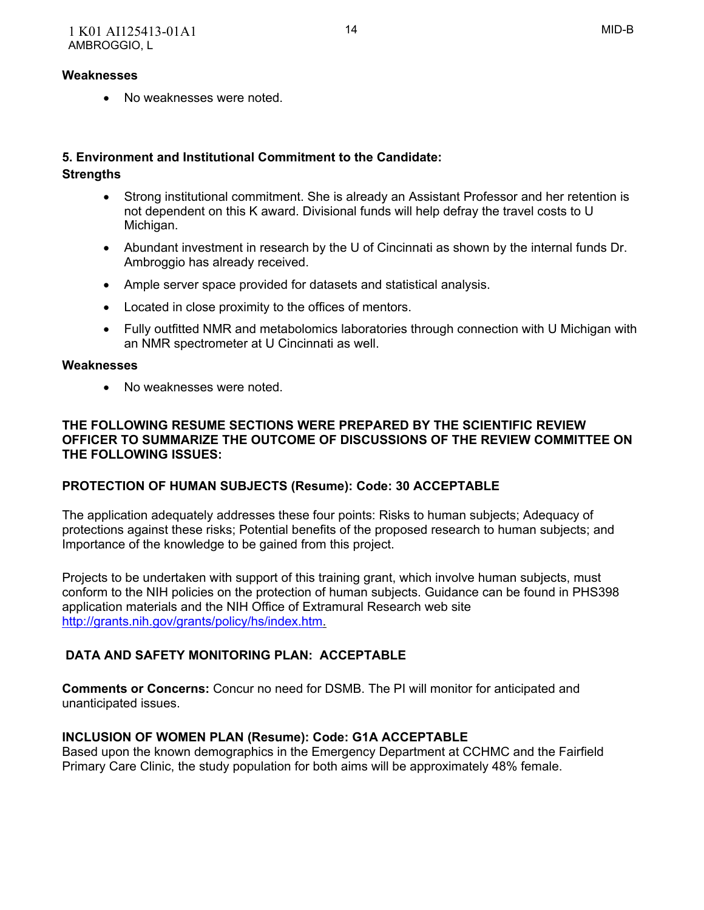No weaknesses were noted.

## **5. Environment and Institutional Commitment to the Candidate: Strengths**

- Strong institutional commitment. She is already an Assistant Professor and her retention is not dependent on this K award. Divisional funds will help defray the travel costs to U Michigan.
- Abundant investment in research by the U of Cincinnati as shown by the internal funds Dr. Ambroggio has already received.
- Ample server space provided for datasets and statistical analysis.
- Located in close proximity to the offices of mentors.
- Fully outfitted NMR and metabolomics laboratories through connection with U Michigan with an NMR spectrometer at U Cincinnati as well.

## **Weaknesses**

No weaknesses were noted.

## **THE FOLLOWING RESUME SECTIONS WERE PREPARED BY THE SCIENTIFIC REVIEW OFFICER TO SUMMARIZE THE OUTCOME OF DISCUSSIONS OF THE REVIEW COMMITTEE ON THE FOLLOWING ISSUES:**

# **PROTECTION OF HUMAN SUBJECTS (Resume): Code: 30 ACCEPTABLE**

 The application adequately addresses these four points: Risks to human subjects; Adequacy of protections against these risks; Potential benefits of the proposed research to human subjects; and Importance of the knowledge to be gained from this project.

 Projects to be undertaken with support of this training grant, which involve human subjects, must conform to the NIH policies on the protection of human subjects. Guidance can be found in PHS398 application materials and the NIH Office of Extramural Research web site [http://grants.nih.gov/grants/policy/hs/index.htm.](http://grants.nih.gov/grants/policy/hs/index.htm)

# **DATA AND SAFETY MONITORING PLAN: ACCEPTABLE**

 **Comments or Concerns:** Concur no need for DSMB. The PI will monitor for anticipated and unanticipated issues.

# **INCLUSION OF WOMEN PLAN (Resume): Code: G1A ACCEPTABLE**

 Based upon the known demographics in the Emergency Department at CCHMC and the Fairfield Primary Care Clinic, the study population for both aims will be approximately 48% female.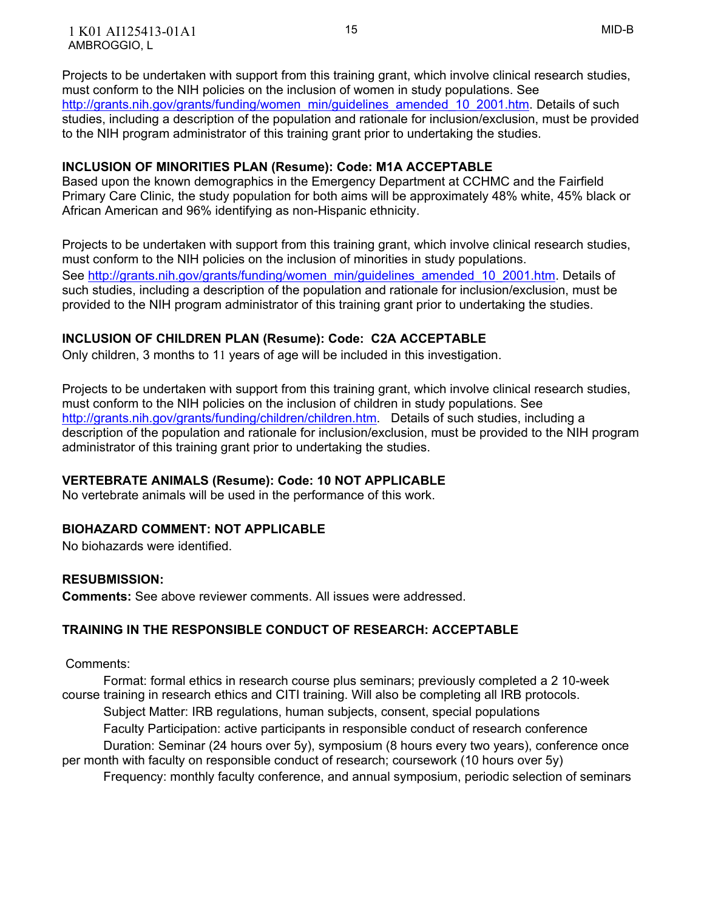Projects to be undertaken with support from this training grant, which involve clinical research studies, must conform to the NIH policies on the inclusion of women in study populations. See [http://grants.nih.gov/grants/funding/women\\_min/guidelines\\_amended\\_10\\_2001.htm.](http://grants.nih.gov/grants/funding/women_min/guidelines_amended_10_2001.htm) Details of such studies, including a description of the population and rationale for inclusion/exclusion, must be provided to the NIH program administrator of this training grant prior to undertaking the studies.

### **INCLUSION OF MINORITIES PLAN (Resume): Code: M1A ACCEPTABLE**

 Based upon the known demographics in the Emergency Department at CCHMC and the Fairfield Primary Care Clinic, the study population for both aims will be approximately 48% white, 45% black or African American and 96% identifying as non-Hispanic ethnicity.

 Projects to be undertaken with support from this training grant, which involve clinical research studies, must conform to the NIH policies on the inclusion of minorities in study populations. See [http://grants.nih.gov/grants/funding/women\\_min/guidelines\\_amended\\_10\\_2001.htm](http://grants.nih.gov/grants/funding/women_min/guidelines_amended_10_2001.htm). Details of such studies, including a description of the population and rationale for inclusion/exclusion, must be provided to the NIH program administrator of this training grant prior to undertaking the studies.

## **INCLUSION OF CHILDREN PLAN (Resume): Code: C2A ACCEPTABLE**

Only children, 3 months to 11 years of age will be included in this investigation.

 Projects to be undertaken with support from this training grant, which involve clinical research studies, must conform to the NIH policies on the inclusion of children in study populations. See [http://grants.nih.gov/grants/funding/children/children.htm.](http://grants.nih.gov/grants/funding/children/children.htm) Details of such studies, including a description of the population and rationale for inclusion/exclusion, must be provided to the NIH program administrator of this training grant prior to undertaking the studies.

#### **VERTEBRATE ANIMALS (Resume): Code: 10 NOT APPLICABLE**

No vertebrate animals will be used in the performance of this work.

#### **BIOHAZARD COMMENT: NOT APPLICABLE**

No biohazards were identified.

#### **RESUBMISSION:**

**Comments:** See above reviewer comments. All issues were addressed.

## **TRAINING IN THE RESPONSIBLE CONDUCT OF RESEARCH: ACCEPTABLE**

Comments:

 Format: formal ethics in research course plus seminars; previously completed a 2 10-week course training in research ethics and CITI training. Will also be completing all IRB protocols. Subject Matter: IRB regulations, human subjects, consent, special populations Faculty Participation: active participants in responsible conduct of research conference Duration: Seminar (24 hours over 5y), symposium (8 hours every two years), conference once per month with faculty on responsible conduct of research; coursework (10 hours over 5y)

Frequency: monthly faculty conference, and annual symposium, periodic selection of seminars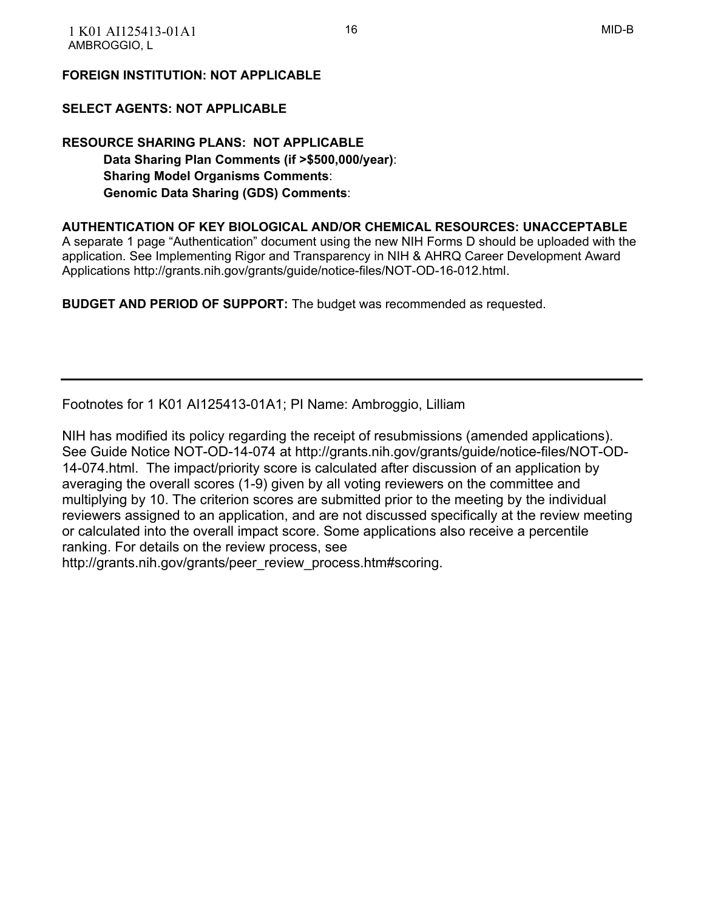## **FOREIGN INSTITUTION: NOT APPLICABLE**

## **SELECT AGENTS: NOT APPLICABLE**

 **RESOURCE SHARING PLANS: NOT APPLICABLE Data Sharing Plan Comments (if >\$500,000/year)**:  **Sharing Model Organisms Comments**:  **Genomic Data Sharing (GDS) Comments**:

 **AUTHENTICATION OF KEY BIOLOGICAL AND/OR CHEMICAL RESOURCES: UNACCEPTABLE**

 A separate 1 page "Authentication" document using the new NIH Forms D should be uploaded with the application. See Implementing Rigor and Transparency in NIH & AHRQ Career Development Award Applications<http://grants.nih.gov/grants/guide/notice-files/NOT-OD-16-012.html>.

 **BUDGET AND PERIOD OF SUPPORT:** The budget was recommended as requested.

Footnotes for 1 K01 AI125413-01A1; PI Name: Ambroggio, Lilliam

 NIH has modified its policy regarding the receipt of resubmissions (amended applications). See Guide Notice NOT-OD-14-074 at http://grants.nih.gov/grants/guide/notice-files/NOT-OD- 14-074.html. The impact/priority score is calculated after discussion of an application by averaging the overall scores (1-9) given by all voting reviewers on the committee and multiplying by 10. The criterion scores are submitted prior to the meeting by the individual reviewers assigned to an application, and are not discussed specifically at the review meeting or calculated into the overall impact score. Some applications also receive a percentile ranking. For details on the review process, see

http://grants.nih.gov/grants/peer\_review\_process.htm#scoring.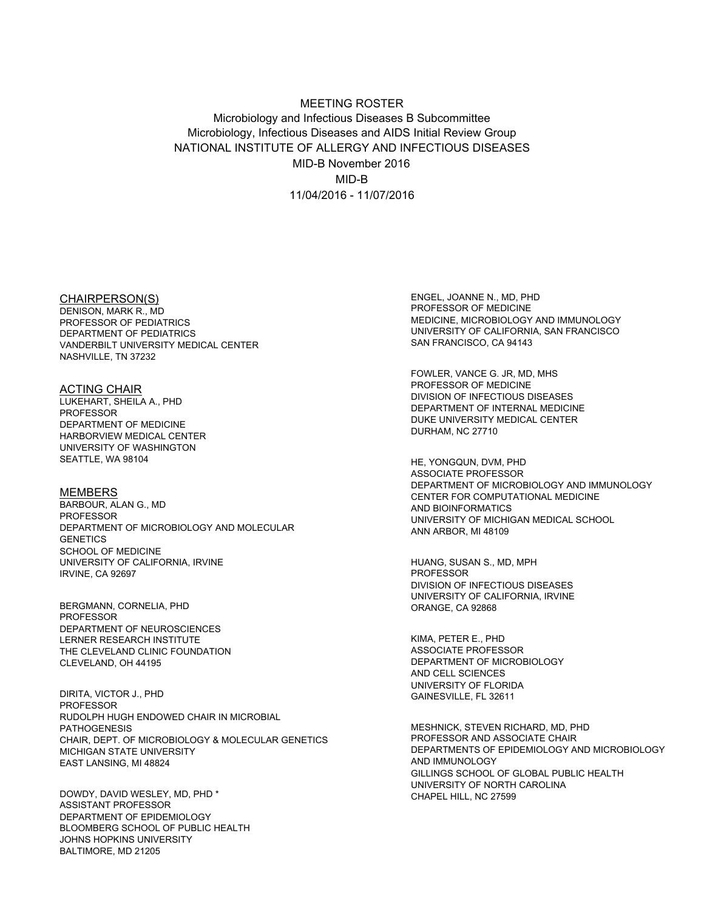#### Microbiology and Infectious Diseases B Subcommittee Microbiology, Infectious Diseases and AIDS Initial Review Group NATIONAL INSTITUTE OF ALLERGY AND INFECTIOUS DISEASES MID-B November 2016 11/04/2016 - 11/07/2016 MEETING ROSTER MID-B

#### CHAIRPERSON(S)

 DENISON, MARK R., MD PROFESSOR OF PEDIATRICS DEPARTMENT OF PEDIATRICS VANDERBILT UNIVERSITY MEDICAL CENTER NASHVILLE, TN 37232

 LUKEHART, SHEILA A., PHD DEPARTMENT OF MEDICINE HARBORVIEW MEDICAL CENTER UNIVERSITY OF WASHINGTON SEATTLE, WA 98104 ACTING CHAIR PROFESSOR

 BARBOUR, ALAN G., MD DEPARTMENT OF MICROBIOLOGY AND MOLECULAR SCHOOL OF MEDICINE UNIVERSITY OF CALIFORNIA, IRVINE IRVINE, CA 92697 MEMBERS PROFESSOR **GENETICS** 

 DEPARTMENT OF NEUROSCIENCES THE CLEVELAND CLINIC FOUNDATION CLEVELAND, OH 44195 BERGMANN, CORNELIA, PHD **PROFESSOR** LERNER RESEARCH INSTITUTE

 RUDOLPH HUGH ENDOWED CHAIR IN MICROBIAL CHAIR, DEPT. OF MICROBIOLOGY & MOLECULAR GENETICS MICHIGAN STATE UNIVERSITY EAST LANSING, MI 48824 DIRITA, VICTOR J., PHD PROFESSOR PATHOGENESIS

 DEPARTMENT OF EPIDEMIOLOGY BLOOMBERG SCHOOL OF PUBLIC HEALTH JOHNS HOPKINS UNIVERSITY BALTIMORE, MD 21205 DOWDY, DAVID WESLEY, MD, PHD \* ASSISTANT PROFESSOR

 ENGEL, JOANNE N., MD, PHD PROFESSOR OF MEDICINE MEDICINE, MICROBIOLOGY AND IMMUNOLOGY UNIVERSITY OF CALIFORNIA, SAN FRANCISCO SAN FRANCISCO, CA 94143

 FOWLER, VANCE G. JR, MD, MHS PROFESSOR OF MEDICINE DIVISION OF INFECTIOUS DISEASES DEPARTMENT OF INTERNAL MEDICINE DUKE UNIVERSITY MEDICAL CENTER DURHAM, NC 27710

 DEPARTMENT OF MICROBIOLOGY AND IMMUNOLOGY CENTER FOR COMPUTATIONAL MEDICINE UNIVERSITY OF MICHIGAN MEDICAL SCHOOL ANN ARBOR, MI 48109 HE, YONGQUN, DVM, PHD ASSOCIATE PROFESSOR AND BIOINFORMATICS

 HUANG, SUSAN S., MD, MPH DIVISION OF INFECTIOUS DISEASES UNIVERSITY OF CALIFORNIA, IRVINE ORANGE, CA 92868 PROFESSOR

 KIMA, PETER E., PHD DEPARTMENT OF MICROBIOLOGY AND CELL SCIENCES UNIVERSITY OF FLORIDA GAINESVILLE, FL 32611 ASSOCIATE PROFESSOR

 MESHNICK, STEVEN RICHARD, MD, PHD PROFESSOR AND ASSOCIATE CHAIR DEPARTMENTS OF EPIDEMIOLOGY AND MICROBIOLOGY GILLINGS SCHOOL OF GLOBAL PUBLIC HEALTH UNIVERSITY OF NORTH CAROLINA CHAPEL HILL, NC 27599 AND IMMUNOLOGY